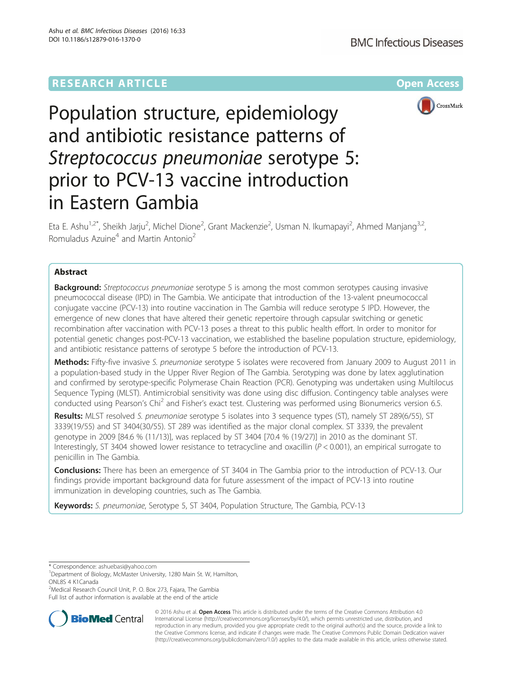# **RESEARCH ARTICLE Example 2014 12:30 The Contract of Contract Article 2014**



# Population structure, epidemiology and antibiotic resistance patterns of Streptococcus pneumoniae serotype 5: prior to PCV-13 vaccine introduction in Eastern Gambia

Eta E. Ashu<sup>1,2\*</sup>, Sheikh Jarju<sup>2</sup>, Michel Dione<sup>2</sup>, Grant Mackenzie<sup>2</sup>, Usman N. Ikumapayi<sup>2</sup>, Ahmed Manjang<sup>3,2</sup>, Romuladus Azuine<sup>4</sup> and Martin Antonio<sup>2</sup>

# Abstract

**Background:** Streptococcus pneumoniae serotype 5 is among the most common serotypes causing invasive pneumococcal disease (IPD) in The Gambia. We anticipate that introduction of the 13-valent pneumococcal conjugate vaccine (PCV-13) into routine vaccination in The Gambia will reduce serotype 5 IPD. However, the emergence of new clones that have altered their genetic repertoire through capsular switching or genetic recombination after vaccination with PCV-13 poses a threat to this public health effort. In order to monitor for potential genetic changes post-PCV-13 vaccination, we established the baseline population structure, epidemiology, and antibiotic resistance patterns of serotype 5 before the introduction of PCV-13.

Methods: Fifty-five invasive S. pneumoniae serotype 5 isolates were recovered from January 2009 to August 2011 in a population-based study in the Upper River Region of The Gambia. Serotyping was done by latex agglutination and confirmed by serotype-specific Polymerase Chain Reaction (PCR). Genotyping was undertaken using Multilocus Sequence Typing (MLST). Antimicrobial sensitivity was done using disc diffusion. Contingency table analyses were conducted using Pearson's Chi<sup>2</sup> and Fisher's exact test. Clustering was performed using Bionumerics version 6.5.

Results: MLST resolved S. pneumoniae serotype 5 isolates into 3 sequence types (ST), namely ST 289(6/55), ST 3339(19/55) and ST 3404(30/55). ST 289 was identified as the major clonal complex. ST 3339, the prevalent genotype in 2009 [84.6 % (11/13)], was replaced by ST 3404 [70.4 % (19/27)] in 2010 as the dominant ST. Interestingly, ST 3404 showed lower resistance to tetracycline and oxacillin  $(P < 0.001)$ , an empirical surrogate to penicillin in The Gambia.

**Conclusions:** There has been an emergence of ST 3404 in The Gambia prior to the introduction of PCV-13. Our findings provide important background data for future assessment of the impact of PCV-13 into routine immunization in developing countries, such as The Gambia.

Keywords: S. pneumoniae, Serotype 5, ST 3404, Population Structure, The Gambia, PCV-13

<sup>2</sup>Medical Research Council Unit, P. O. Box 273, Fajara, The Gambia Full list of author information is available at the end of the article



© 2016 Ashu et al. Open Access This article is distributed under the terms of the Creative Commons Attribution 4.0 International License [\(http://creativecommons.org/licenses/by/4.0/](http://creativecommons.org/licenses/by/4.0/)), which permits unrestricted use, distribution, and reproduction in any medium, provided you give appropriate credit to the original author(s) and the source, provide a link to the Creative Commons license, and indicate if changes were made. The Creative Commons Public Domain Dedication waiver [\(http://creativecommons.org/publicdomain/zero/1.0/](http://creativecommons.org/publicdomain/zero/1.0/)) applies to the data made available in this article, unless otherwise stated.

<sup>\*</sup> Correspondence: [ashuebasi@yahoo.com](mailto:ashuebasi@yahoo.com) <sup>1</sup>

<sup>&</sup>lt;sup>1</sup>Department of Biology, McMaster University, 1280 Main St. W, Hamilton, ONL8S 4 K1Canada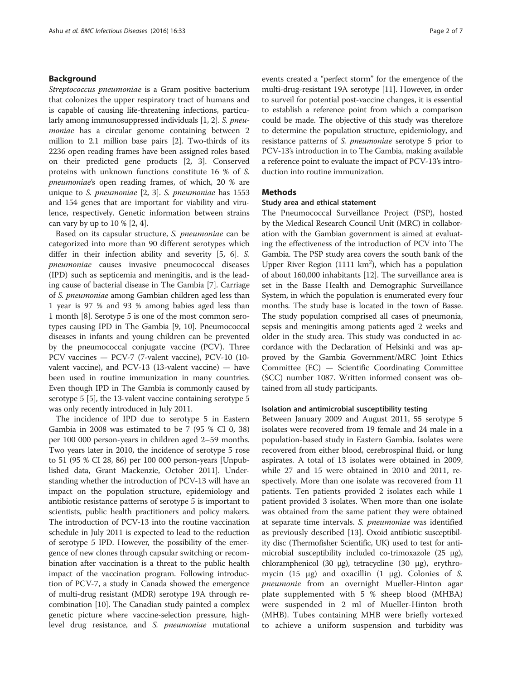# Background

Streptococcus pneumoniae is a Gram positive bacterium that colonizes the upper respiratory tract of humans and is capable of causing life-threatening infections, particularly among immunosuppressed individuals [\[1, 2](#page-5-0)]. S. pneumoniae has a circular genome containing between 2 million to 2.1 million base pairs [\[2](#page-5-0)]. Two-thirds of its 2236 open reading frames have been assigned roles based on their predicted gene products [\[2](#page-5-0), [3](#page--1-0)]. Conserved proteins with unknown functions constitute 16 % of S. pneumoniae's open reading frames, of which, 20 % are unique to S. pneumoniae [\[2](#page-5-0), [3\]](#page--1-0). S. pneumoniae has 1553 and 154 genes that are important for viability and virulence, respectively. Genetic information between strains can vary by up to  $10\%$  [\[2,](#page-5-0) [4](#page--1-0)].

Based on its capsular structure, S. pneumoniae can be categorized into more than 90 different serotypes which differ in their infection ability and severity [[5, 6\]](#page--1-0). S. pneumoniae causes invasive pneumococcal diseases (IPD) such as septicemia and meningitis, and is the leading cause of bacterial disease in The Gambia [[7](#page--1-0)]. Carriage of S. pneumoniae among Gambian children aged less than 1 year is 97 % and 93 % among babies aged less than 1 month [\[8](#page--1-0)]. Serotype 5 is one of the most common serotypes causing IPD in The Gambia [\[9](#page--1-0), [10](#page--1-0)]. Pneumococcal diseases in infants and young children can be prevented by the pneumococcal conjugate vaccine (PCV). Three PCV vaccines — PCV-7 (7-valent vaccine), PCV-10 (10 valent vaccine), and PCV-13 (13-valent vaccine) — have been used in routine immunization in many countries. Even though IPD in The Gambia is commonly caused by serotype 5 [[5\]](#page--1-0), the 13-valent vaccine containing serotype 5 was only recently introduced in July 2011.

The incidence of IPD due to serotype 5 in Eastern Gambia in 2008 was estimated to be 7 (95 % CI 0, 38) per 100 000 person-years in children aged 2–59 months. Two years later in 2010, the incidence of serotype 5 rose to 51 (95 % CI 28, 86) per 100 000 person-years [Unpublished data, Grant Mackenzie, October 2011]. Understanding whether the introduction of PCV-13 will have an impact on the population structure, epidemiology and antibiotic resistance patterns of serotype 5 is important to scientists, public health practitioners and policy makers. The introduction of PCV-13 into the routine vaccination schedule in July 2011 is expected to lead to the reduction of serotype 5 IPD. However, the possibility of the emergence of new clones through capsular switching or recombination after vaccination is a threat to the public health impact of the vaccination program. Following introduction of PCV-7, a study in Canada showed the emergence of multi-drug resistant (MDR) serotype 19A through recombination [\[10](#page--1-0)]. The Canadian study painted a complex genetic picture where vaccine-selection pressure, highlevel drug resistance, and S. pneumoniae mutational events created a "perfect storm" for the emergence of the multi-drug-resistant 19A serotype [[11](#page--1-0)]. However, in order to surveil for potential post-vaccine changes, it is essential to establish a reference point from which a comparison could be made. The objective of this study was therefore to determine the population structure, epidemiology, and resistance patterns of S. pneumoniae serotype 5 prior to PCV-13's introduction in to The Gambia, making available a reference point to evaluate the impact of PCV-13's introduction into routine immunization.

# **Methods**

## Study area and ethical statement

The Pneumococcal Surveillance Project (PSP), hosted by the Medical Research Council Unit (MRC) in collaboration with the Gambian government is aimed at evaluating the effectiveness of the introduction of PCV into The Gambia. The PSP study area covers the south bank of the Upper River Region (1111  $km^2$ ), which has a population of about 160,000 inhabitants [[12](#page--1-0)]. The surveillance area is set in the Basse Health and Demographic Surveillance System, in which the population is enumerated every four months. The study base is located in the town of Basse. The study population comprised all cases of pneumonia, sepsis and meningitis among patients aged 2 weeks and older in the study area. This study was conducted in accordance with the Declaration of Helsinki and was approved by the Gambia Government/MRC Joint Ethics Committee (EC) — Scientific Coordinating Committee (SCC) number 1087. Written informed consent was obtained from all study participants.

# Isolation and antimicrobial susceptibility testing

Between January 2009 and August 2011, 55 serotype 5 isolates were recovered from 19 female and 24 male in a population-based study in Eastern Gambia. Isolates were recovered from either blood, cerebrospinal fluid, or lung aspirates. A total of 13 isolates were obtained in 2009, while 27 and 15 were obtained in 2010 and 2011, respectively. More than one isolate was recovered from 11 patients. Ten patients provided 2 isolates each while 1 patient provided 3 isolates. When more than one isolate was obtained from the same patient they were obtained at separate time intervals. S. pneumoniae was identified as previously described [[13](#page--1-0)]. Oxoid antibiotic susceptibility disc (Thermofisher Scientific, UK) used to test for antimicrobial susceptibility included co-trimoxazole (25 μg), chloramphenicol (30 μg), tetracycline (30 μg), erythromycin (15 μg) and oxacillin (1 μg). Colonies of S. pneumonie from an overnight Mueller-Hinton agar plate supplemented with 5 % sheep blood (MHBA) were suspended in 2 ml of Mueller-Hinton broth (MHB). Tubes containing MHB were briefly vortexed to achieve a uniform suspension and turbidity was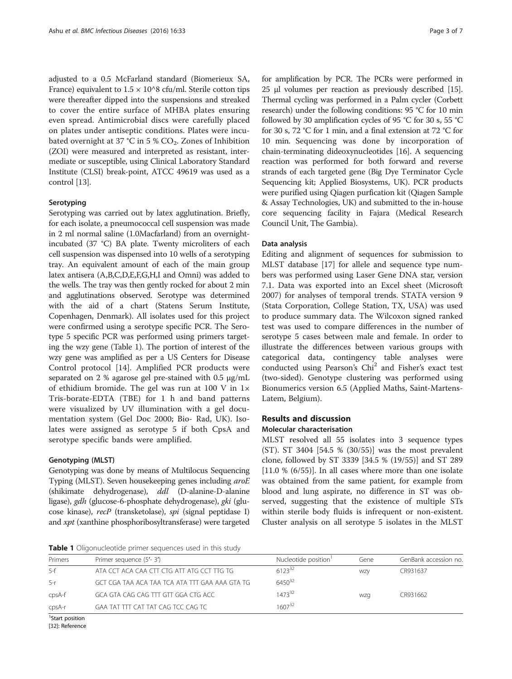adjusted to a 0.5 McFarland standard (Biomerieux SA, France) equivalent to  $1.5 \times 10^{8}$  cfu/ml. Sterile cotton tips were thereafter dipped into the suspensions and streaked to cover the entire surface of MHBA plates ensuring even spread. Antimicrobial discs were carefully placed on plates under antiseptic conditions. Plates were incubated overnight at 37 °C in 5 %  $CO<sub>2</sub>$ . Zones of Inhibition (ZOI) were measured and interpreted as resistant, intermediate or susceptible, using Clinical Laboratory Standard Institute (CLSI) break-point, ATCC 49619 was used as a control [\[13\]](#page--1-0).

# Serotyping

Serotyping was carried out by latex agglutination. Briefly, for each isolate, a pneumococcal cell suspension was made in 2 ml normal saline (1.0Macfarland) from an overnightincubated (37 °C) BA plate. Twenty microliters of each cell suspension was dispensed into 10 wells of a serotyping tray. An equivalent amount of each of the main group latex antisera (A,B,C,D,E,F,G,H,I and Omni) was added to the wells. The tray was then gently rocked for about 2 min and agglutinations observed. Serotype was determined with the aid of a chart (Statens Serum Institute, Copenhagen, Denmark). All isolates used for this project were confirmed using a serotype specific PCR. The Serotype 5 specific PCR was performed using primers targeting the wzy gene (Table 1). The portion of interest of the wzy gene was amplified as per a US Centers for Disease Control protocol [[14\]](#page--1-0). Amplified PCR products were separated on 2 % agarose gel pre-stained with 0.5 μg/mL of ethidium bromide. The gel was run at 100 V in 1× Tris-borate-EDTA (TBE) for 1 h and band patterns were visualized by UV illumination with a gel documentation system (Gel Doc 2000; Bio- Rad, UK). Isolates were assigned as serotype 5 if both CpsA and serotype specific bands were amplified.

## Genotyping (MLST)

Genotyping was done by means of Multilocus Sequencing Typing (MLST). Seven housekeeping genes including aroE (shikimate dehydrogenase), ddl (D-alanine-D-alanine ligase), gdh (glucose-6-phosphate dehydrogenase), gki (glucose kinase), recP (transketolase), spi (signal peptidase I) and xpt (xanthine phosphoribosyltransferase) were targeted

for amplification by PCR. The PCRs were performed in 25 μl volumes per reaction as previously described [[15](#page--1-0)]. Thermal cycling was performed in a Palm cycler (Corbett research) under the following conditions: 95 °C for 10 min followed by 30 amplification cycles of 95 °C for 30 s, 55 °C for 30 s, 72 °C for 1 min, and a final extension at 72 °C for 10 min. Sequencing was done by incorporation of chain-terminating dideoxynucleotides [\[16\]](#page--1-0). A sequencing reaction was performed for both forward and reverse strands of each targeted gene (Big Dye Terminator Cycle Sequencing kit; Applied Biosystems, UK). PCR products were purified using Qiagen purfication kit (Qiagen Sample & Assay Technologies, UK) and submitted to the in-house core sequencing facility in Fajara (Medical Research Council Unit, The Gambia).

## Data analysis

Editing and alignment of sequences for submission to MLST database [\[17\]](#page--1-0) for allele and sequence type numbers was performed using Laser Gene DNA star, version 7.1. Data was exported into an Excel sheet (Microsoft 2007) for analyses of temporal trends. STATA version 9 (Stata Corporation, College Station, TX, USA) was used to produce summary data. The Wilcoxon signed ranked test was used to compare differences in the number of serotype 5 cases between male and female. In order to illustrate the differences between various groups with categorical data, contingency table analyses were conducted using Pearson's Chi<sup>2</sup> and Fisher's exact test (two-sided). Genotype clustering was performed using Bionumerics version 6.5 (Applied Maths, Saint-Martens-Latem, Belgium).

# Results and discussion

# Molecular characterisation

MLST resolved all 55 isolates into 3 sequence types (ST). ST 3404 [54.5 % (30/55)] was the most prevalent clone, followed by ST 3339 [34.5 % (19/55)] and ST 289 [11.0 % (6/55)]. In all cases where more than one isolate was obtained from the same patient, for example from blood and lung aspirate, no difference in ST was observed, suggesting that the existence of multiple STs within sterile body fluids is infrequent or non-existent. Cluster analysis on all serotype 5 isolates in the MLST

Table 1 Oligonucleotide primer sequences used in this study

| Primers           | Primer sequence (5'-3')                        | Nucleotide position <sup>1</sup> | Gene | GenBank accession no. |
|-------------------|------------------------------------------------|----------------------------------|------|-----------------------|
| $5-f$             | ATA CCT ACA CAA CTT CTG ATT ATG CCT TTG TG     | $6123^{32}$                      | WZV  | CR931637              |
| $-5-r$            | GCT CGA TAA ACA TAA TCA ATA TTT GAA AAA GTA TG | $6450^{32}$                      |      |                       |
| cpsA-f            | GCA GTA CAG CAG TTT GTT GGA CTG ACC            | 1473 <sup>32</sup>               | wzg  | CR931662              |
| $cpsA-r$          | GAA TAT TTT CAT TAT CAG TCC CAG TC             | 1607 <sup>32</sup>               |      |                       |
| $C$ tast nocition |                                                |                                  |      |                       |

Start position

[[32\]](#page--1-0): Reference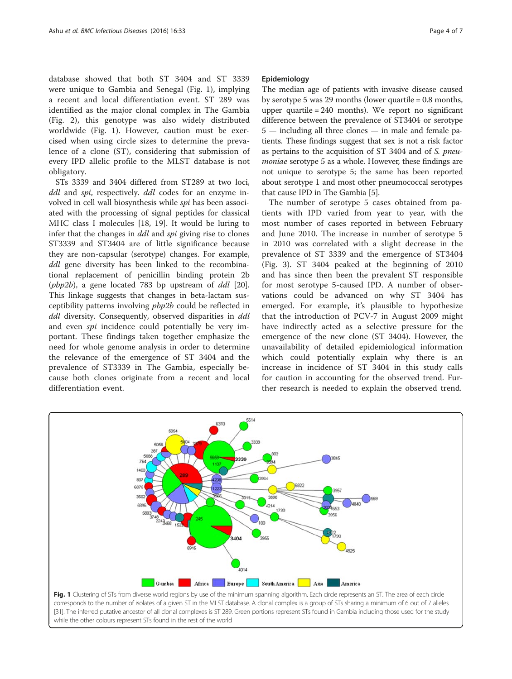database showed that both ST 3404 and ST 3339 were unique to Gambia and Senegal (Fig. 1), implying a recent and local differentiation event. ST 289 was identified as the major clonal complex in The Gambia (Fig. [2\)](#page-4-0), this genotype was also widely distributed worldwide (Fig. 1). However, caution must be exercised when using circle sizes to determine the prevalence of a clone (ST), considering that submission of every IPD allelic profile to the MLST database is not obligatory.

STs 3339 and 3404 differed from ST289 at two loci, ddl and spi, respectively. ddl codes for an enzyme involved in cell wall biosynthesis while spi has been associated with the processing of signal peptides for classical MHC class I molecules [[18, 19\]](#page--1-0). It would be luring to infer that the changes in ddl and spi giving rise to clones ST3339 and ST3404 are of little significance because they are non-capsular (serotype) changes. For example, ddl gene diversity has been linked to the recombinational replacement of penicillin binding protein 2b ( $pbp2b$ ), a gene located 783 bp upstream of  $ddl$  [\[20](#page--1-0)]. This linkage suggests that changes in beta-lactam susceptibility patterns involving pbp2b could be reflected in ddl diversity. Consequently, observed disparities in ddl and even spi incidence could potentially be very important. These findings taken together emphasize the need for whole genome analysis in order to determine the relevance of the emergence of ST 3404 and the prevalence of ST3339 in The Gambia, especially because both clones originate from a recent and local differentiation event.

## Epidemiology

The median age of patients with invasive disease caused by serotype 5 was 29 months (lower quartile = 0.8 months, upper quartile = 240 months). We report no significant difference between the prevalence of ST3404 or serotype 5 — including all three clones — in male and female patients. These findings suggest that sex is not a risk factor as pertains to the acquisition of ST 3404 and of S. pneumoniae serotype 5 as a whole. However, these findings are not unique to serotype 5; the same has been reported about serotype 1 and most other pneumococcal serotypes that cause IPD in The Gambia [\[5\]](#page--1-0).

The number of serotype 5 cases obtained from patients with IPD varied from year to year, with the most number of cases reported in between February and June 2010. The increase in number of serotype 5 in 2010 was correlated with a slight decrease in the prevalence of ST 3339 and the emergence of ST3404 (Fig. [3\)](#page-4-0). ST 3404 peaked at the beginning of 2010 and has since then been the prevalent ST responsible for most serotype 5-caused IPD. A number of observations could be advanced on why ST 3404 has emerged. For example, it's plausible to hypothesize that the introduction of PCV-7 in August 2009 might have indirectly acted as a selective pressure for the emergence of the new clone (ST 3404). However, the unavailability of detailed epidemiological information which could potentially explain why there is an increase in incidence of ST 3404 in this study calls for caution in accounting for the observed trend. Further research is needed to explain the observed trend.



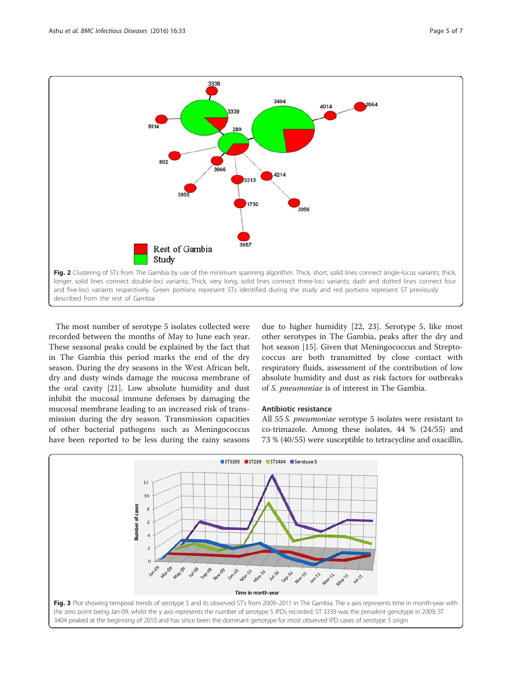<span id="page-4-0"></span>

The most number of serotype 5 isolates collected were recorded between the months of May to June each year. These seasonal peaks could be explained by the fact that in The Gambia this period marks the end of the dry season. During the dry seasons in the West African belt, dry and dusty winds damage the mucosa membrane of the oral cavity [[21\]](#page--1-0). Low absolute humidity and dust inhibit the mucosal immune defenses by damaging the mucosal membrane leading to an increased risk of transmission during the dry season. Transmission capacities of other bacterial pathogens such as Meningococcus have been reported to be less during the rainy seasons

due to higher humidity [[22, 23](#page--1-0)]. Serotype 5, like most other serotypes in The Gambia, peaks after the dry and hot season [[15\]](#page--1-0). Given that Meningococcus and Streptococcus are both transmitted by close contact with respiratory fluids, assessment of the contribution of low absolute humidity and dust as risk factors for outbreaks of S. pneumoniae is of interest in The Gambia.

# Antibiotic resistance

All 55 S. pneumoniae serotype 5 isolates were resistant to co-trimazole. Among these isolates, 44 % (24/55) and 73 % (40/55) were susceptible to tetracycline and oxacillin,

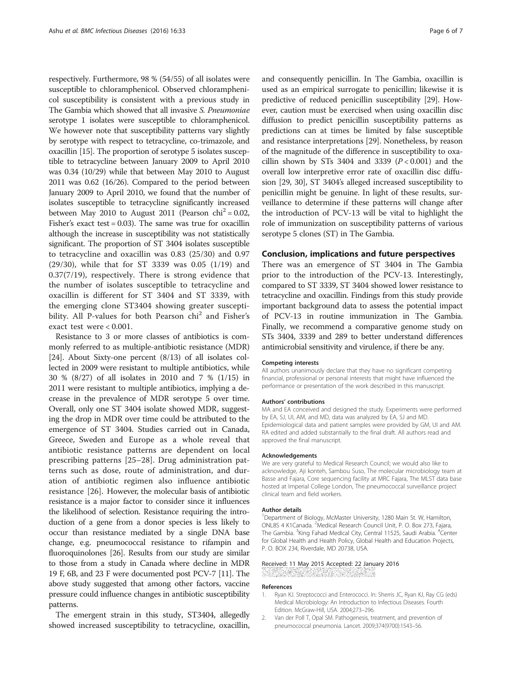<span id="page-5-0"></span>respectively. Furthermore, 98 % (54/55) of all isolates were susceptible to chloramphenicol. Observed chloramphenicol susceptibility is consistent with a previous study in The Gambia which showed that all invasive S. Pneumoniae serotype 1 isolates were susceptible to chloramphenicol. We however note that susceptibility patterns vary slightly by serotype with respect to tetracycline, co-trimazole, and oxacillin [\[15\]](#page--1-0). The proportion of serotype 5 isolates susceptible to tetracycline between January 2009 to April 2010 was 0.34 (10/29) while that between May 2010 to August 2011 was 0.62 (16/26). Compared to the period between January 2009 to April 2010, we found that the number of isolates susceptible to tetracycline significantly increased between May 2010 to August 2011 (Pearson chi<sup>2</sup> = 0.02, Fisher's exact test = 0.03). The same was true for oxacillin although the increase in susceptibility was not statistically significant. The proportion of ST 3404 isolates susceptible to tetracycline and oxacillin was 0.83 (25/30) and 0.97 (29/30), while that for ST 3339 was 0.05 (1/19) and 0.37(7/19), respectively. There is strong evidence that the number of isolates susceptible to tetracycline and oxacillin is different for ST 3404 and ST 3339, with the emerging clone ST3404 showing greater susceptibility. All P-values for both Pearson chi<sup>2</sup> and Fisher's exact test were < 0.001.

Resistance to 3 or more classes of antibiotics is commonly referred to as multiple-antibiotic resistance (MDR) [[24](#page--1-0)]. About Sixty-one percent (8/13) of all isolates collected in 2009 were resistant to multiple antibiotics, while 30 % (8/27) of all isolates in 2010 and 7 % (1/15) in 2011 were resistant to multiple antibiotics, implying a decrease in the prevalence of MDR serotype 5 over time. Overall, only one ST 3404 isolate showed MDR, suggesting the drop in MDR over time could be attributed to the emergence of ST 3404. Studies carried out in Canada, Greece, Sweden and Europe as a whole reveal that antibiotic resistance patterns are dependent on local prescribing patterns [\[25](#page--1-0)–[28](#page--1-0)]. Drug administration patterns such as dose, route of administration, and duration of antibiotic regimen also influence antibiotic resistance [[26\]](#page--1-0). However, the molecular basis of antibiotic resistance is a major factor to consider since it influences the likelihood of selection. Resistance requiring the introduction of a gene from a donor species is less likely to occur than resistance mediated by a single DNA base change, e.g. pneumococcal resistance to rifampin and fluoroquinolones [[26](#page--1-0)]. Results from our study are similar to those from a study in Canada where decline in MDR 19 F, 6B, and 23 F were documented post PCV-7 [\[11\]](#page--1-0). The above study suggested that among other factors, vaccine pressure could influence changes in antibiotic susceptibility patterns.

The emergent strain in this study, ST3404, allegedly showed increased susceptibility to tetracycline, oxacillin, and consequently penicillin. In The Gambia, oxacillin is used as an empirical surrogate to penicillin; likewise it is predictive of reduced penicillin susceptibility [[29](#page--1-0)]. However, caution must be exercised when using oxacillin disc diffusion to predict penicillin susceptibility patterns as predictions can at times be limited by false susceptible and resistance interpretations [[29](#page--1-0)]. Nonetheless, by reason of the magnitude of the difference in susceptibility to oxacillin shown by STs 3404 and 3339  $(P < 0.001)$  and the overall low interpretive error rate of oxacillin disc diffusion [[29](#page--1-0), [30](#page--1-0)], ST 3404's alleged increased susceptibility to penicillin might be genuine. In light of these results, surveillance to determine if these patterns will change after the introduction of PCV-13 will be vital to highlight the role of immunization on susceptibility patterns of various serotype 5 clones (ST) in The Gambia.

## Conclusion, implications and future perspectives

There was an emergence of ST 3404 in The Gambia prior to the introduction of the PCV-13. Interestingly, compared to ST 3339, ST 3404 showed lower resistance to tetracycline and oxacillin. Findings from this study provide important background data to assess the potential impact of PCV-13 in routine immunization in The Gambia. Finally, we recommend a comparative genome study on STs 3404, 3339 and 289 to better understand differences antimicrobial sensitivity and virulence, if there be any.

#### Competing interests

All authors unanimously declare that they have no significant competing financial, professional or personal interests that might have influenced the performance or presentation of the work described in this manuscript.

#### Authors' contributions

MA and EA conceived and designed the study. Experiments were performed by EA, SJ, UI, AM, and MD, data was analyzed by EA, SJ and MD. Epidemiological data and patient samples were provided by GM, UI and AM. RA edited and added substantially to the final draft. All authors read and approved the final manuscript.

#### Acknowledgements

We are very grateful to Medical Research Council; we would also like to acknowledge, Aji konteh, Sambou Suso, The molecular microbiology team at Basse and Fajara, Core sequencing facility at MRC Fajara, The MLST data base hosted at Imperial College London, The pneumococcal surveillance project clinical team and field workers.

#### Author details

<sup>1</sup>Department of Biology, McMaster University, 1280 Main St. W, Hamilton ONL8S 4 K1Canada. <sup>2</sup>Medical Research Council Unit, P. O. Box 273, Fajara, The Gambia. <sup>3</sup>King Fahad Medical City, Central 11525, Saudi Arabia. <sup>4</sup>Center for Global Health and Health Policy, Global Health and Education Projects, P. O. BOX 234, Riverdale, MD 20738, USA.

# Received: 11 May 2015 Accepted: 22 January 2016

#### References

- 1. Ryan KJ. Streptococci and Enterococci. In: Sherris JC, Ryan KJ, Ray CG (eds) Medical Microbiology: An Introduction to Infectious Diseases. Fourth Edition. McGraw-Hill, USA. 2004;273–296.
- 2. Van der Poll T, Opal SM. Pathogenesis, treatment, and prevention of pneumococcal pneumonia. Lancet. 2009;374(9700):1543–56.